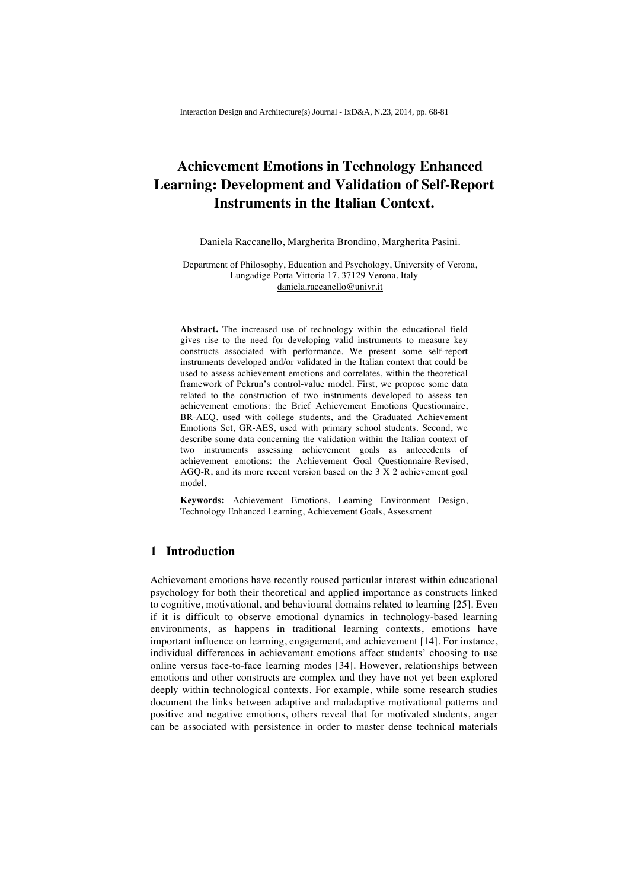# **Achievement Emotions in Technology Enhanced Learning: Development and Validation of Self-Report Instruments in the Italian Context.**

Daniela Raccanello, Margherita Brondino, Margherita Pasini.

Department of Philosophy, Education and Psychology, University of Verona, Lungadige Porta Vittoria 17, 37129 Verona, Italy daniela.raccanello@univr.it

**Abstract.** The increased use of technology within the educational field gives rise to the need for developing valid instruments to measure key constructs associated with performance. We present some self-report instruments developed and/or validated in the Italian context that could be used to assess achievement emotions and correlates, within the theoretical framework of Pekrun's control-value model. First, we propose some data related to the construction of two instruments developed to assess ten achievement emotions: the Brief Achievement Emotions Questionnaire, BR-AEQ, used with college students, and the Graduated Achievement Emotions Set, GR-AES, used with primary school students. Second, we describe some data concerning the validation within the Italian context of two instruments assessing achievement goals as antecedents of achievement emotions: the Achievement Goal Questionnaire-Revised, AGQ-R, and its more recent version based on the 3 X 2 achievement goal model.

**Keywords:** Achievement Emotions, Learning Environment Design, Technology Enhanced Learning, Achievement Goals, Assessment

### **1 Introduction**

Achievement emotions have recently roused particular interest within educational psychology for both their theoretical and applied importance as constructs linked to cognitive, motivational, and behavioural domains related to learning [25]. Even if it is difficult to observe emotional dynamics in technology-based learning environments, as happens in traditional learning contexts, emotions have important influence on learning, engagement, and achievement [14]. For instance, individual differences in achievement emotions affect students' choosing to use online versus face-to-face learning modes [34]. However, relationships between emotions and other constructs are complex and they have not yet been explored deeply within technological contexts. For example, while some research studies document the links between adaptive and maladaptive motivational patterns and positive and negative emotions, others reveal that for motivated students, anger can be associated with persistence in order to master dense technical materials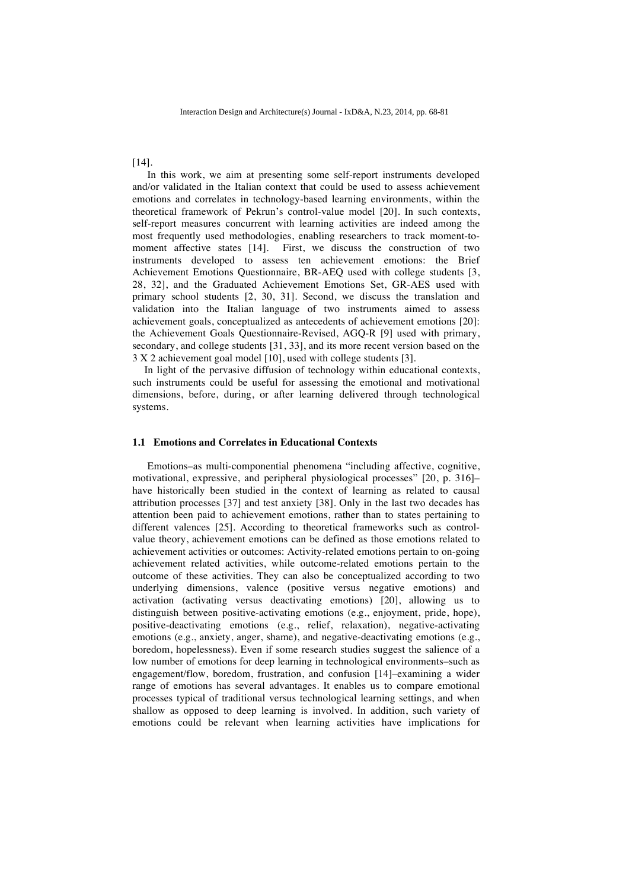[14].

In this work, we aim at presenting some self-report instruments developed and/or validated in the Italian context that could be used to assess achievement emotions and correlates in technology-based learning environments, within the theoretical framework of Pekrun's control-value model [20]. In such contexts, self-report measures concurrent with learning activities are indeed among the most frequently used methodologies, enabling researchers to track moment-tomoment affective states [14]. First, we discuss the construction of two instruments developed to assess ten achievement emotions: the Brief Achievement Emotions Questionnaire, BR-AEQ used with college students [3, 28, 32], and the Graduated Achievement Emotions Set, GR-AES used with primary school students [2, 30, 31]. Second, we discuss the translation and validation into the Italian language of two instruments aimed to assess achievement goals, conceptualized as antecedents of achievement emotions [20]: the Achievement Goals Questionnaire-Revised, AGQ-R [9] used with primary, secondary, and college students [31, 33], and its more recent version based on the 3 X 2 achievement goal model [10], used with college students [3].

In light of the pervasive diffusion of technology within educational contexts, such instruments could be useful for assessing the emotional and motivational dimensions, before, during, or after learning delivered through technological systems.

#### **1.1 Emotions and Correlates in Educational Contexts**

Emotions–as multi-componential phenomena "including affective, cognitive, motivational, expressive, and peripheral physiological processes" [20, p. 316]– have historically been studied in the context of learning as related to causal attribution processes [37] and test anxiety [38]. Only in the last two decades has attention been paid to achievement emotions, rather than to states pertaining to different valences [25]. According to theoretical frameworks such as controlvalue theory, achievement emotions can be defined as those emotions related to achievement activities or outcomes: Activity-related emotions pertain to on-going achievement related activities, while outcome-related emotions pertain to the outcome of these activities. They can also be conceptualized according to two underlying dimensions, valence (positive versus negative emotions) and activation (activating versus deactivating emotions) [20], allowing us to distinguish between positive-activating emotions (e.g., enjoyment, pride, hope), positive-deactivating emotions (e.g., relief, relaxation), negative-activating emotions (e.g., anxiety, anger, shame), and negative-deactivating emotions (e.g., boredom, hopelessness). Even if some research studies suggest the salience of a low number of emotions for deep learning in technological environments–such as engagement/flow, boredom, frustration, and confusion [14]–examining a wider range of emotions has several advantages. It enables us to compare emotional processes typical of traditional versus technological learning settings, and when shallow as opposed to deep learning is involved. In addition, such variety of emotions could be relevant when learning activities have implications for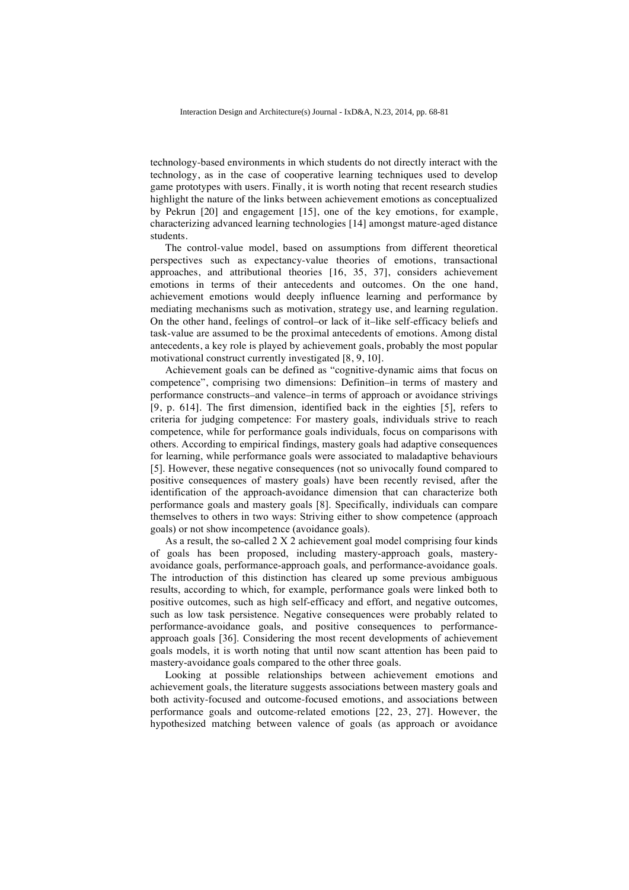technology-based environments in which students do not directly interact with the technology, as in the case of cooperative learning techniques used to develop game prototypes with users. Finally, it is worth noting that recent research studies highlight the nature of the links between achievement emotions as conceptualized by Pekrun [20] and engagement [15], one of the key emotions, for example, characterizing advanced learning technologies [14] amongst mature-aged distance students.

The control-value model, based on assumptions from different theoretical perspectives such as expectancy-value theories of emotions, transactional approaches, and attributional theories [16, 35, 37], considers achievement emotions in terms of their antecedents and outcomes. On the one hand, achievement emotions would deeply influence learning and performance by mediating mechanisms such as motivation, strategy use, and learning regulation. On the other hand, feelings of control–or lack of it–like self-efficacy beliefs and task-value are assumed to be the proximal antecedents of emotions. Among distal antecedents, a key role is played by achievement goals, probably the most popular motivational construct currently investigated [8, 9, 10].

Achievement goals can be defined as "cognitive-dynamic aims that focus on competence", comprising two dimensions: Definition–in terms of mastery and performance constructs–and valence–in terms of approach or avoidance strivings [9, p. 614]. The first dimension, identified back in the eighties [5], refers to criteria for judging competence: For mastery goals, individuals strive to reach competence, while for performance goals individuals, focus on comparisons with others. According to empirical findings, mastery goals had adaptive consequences for learning, while performance goals were associated to maladaptive behaviours [5]. However, these negative consequences (not so univocally found compared to positive consequences of mastery goals) have been recently revised, after the identification of the approach-avoidance dimension that can characterize both performance goals and mastery goals [8]. Specifically, individuals can compare themselves to others in two ways: Striving either to show competence (approach goals) or not show incompetence (avoidance goals).

As a result, the so-called 2 X 2 achievement goal model comprising four kinds of goals has been proposed, including mastery-approach goals, masteryavoidance goals, performance-approach goals, and performance-avoidance goals. The introduction of this distinction has cleared up some previous ambiguous results, according to which, for example, performance goals were linked both to positive outcomes, such as high self-efficacy and effort, and negative outcomes, such as low task persistence. Negative consequences were probably related to performance-avoidance goals, and positive consequences to performanceapproach goals [36]. Considering the most recent developments of achievement goals models, it is worth noting that until now scant attention has been paid to mastery-avoidance goals compared to the other three goals.

Looking at possible relationships between achievement emotions and achievement goals, the literature suggests associations between mastery goals and both activity-focused and outcome-focused emotions, and associations between performance goals and outcome-related emotions [22, 23, 27]. However, the hypothesized matching between valence of goals (as approach or avoidance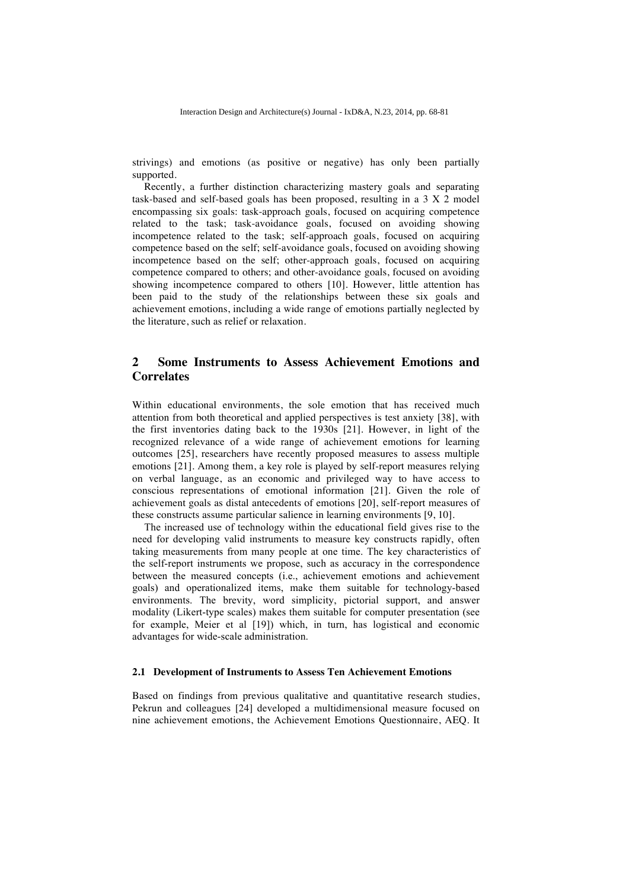strivings) and emotions (as positive or negative) has only been partially supported.

Recently, a further distinction characterizing mastery goals and separating task-based and self-based goals has been proposed, resulting in a 3 X 2 model encompassing six goals: task-approach goals, focused on acquiring competence related to the task; task-avoidance goals, focused on avoiding showing incompetence related to the task; self-approach goals, focused on acquiring competence based on the self; self-avoidance goals, focused on avoiding showing incompetence based on the self; other-approach goals, focused on acquiring competence compared to others; and other-avoidance goals, focused on avoiding showing incompetence compared to others [10]. However, little attention has been paid to the study of the relationships between these six goals and achievement emotions, including a wide range of emotions partially neglected by the literature, such as relief or relaxation.

## **2 Some Instruments to Assess Achievement Emotions and Correlates**

Within educational environments, the sole emotion that has received much attention from both theoretical and applied perspectives is test anxiety [38], with the first inventories dating back to the 1930s [21]. However, in light of the recognized relevance of a wide range of achievement emotions for learning outcomes [25], researchers have recently proposed measures to assess multiple emotions [21]. Among them, a key role is played by self-report measures relying on verbal language, as an economic and privileged way to have access to conscious representations of emotional information [21]. Given the role of achievement goals as distal antecedents of emotions [20], self-report measures of these constructs assume particular salience in learning environments [9, 10].

The increased use of technology within the educational field gives rise to the need for developing valid instruments to measure key constructs rapidly, often taking measurements from many people at one time. The key characteristics of the self-report instruments we propose, such as accuracy in the correspondence between the measured concepts (i.e., achievement emotions and achievement goals) and operationalized items, make them suitable for technology-based environments. The brevity, word simplicity, pictorial support, and answer modality (Likert-type scales) makes them suitable for computer presentation (see for example, Meier et al [19]) which, in turn, has logistical and economic advantages for wide-scale administration.

#### **2.1 Development of Instruments to Assess Ten Achievement Emotions**

Based on findings from previous qualitative and quantitative research studies, Pekrun and colleagues [24] developed a multidimensional measure focused on nine achievement emotions, the Achievement Emotions Questionnaire, AEQ. It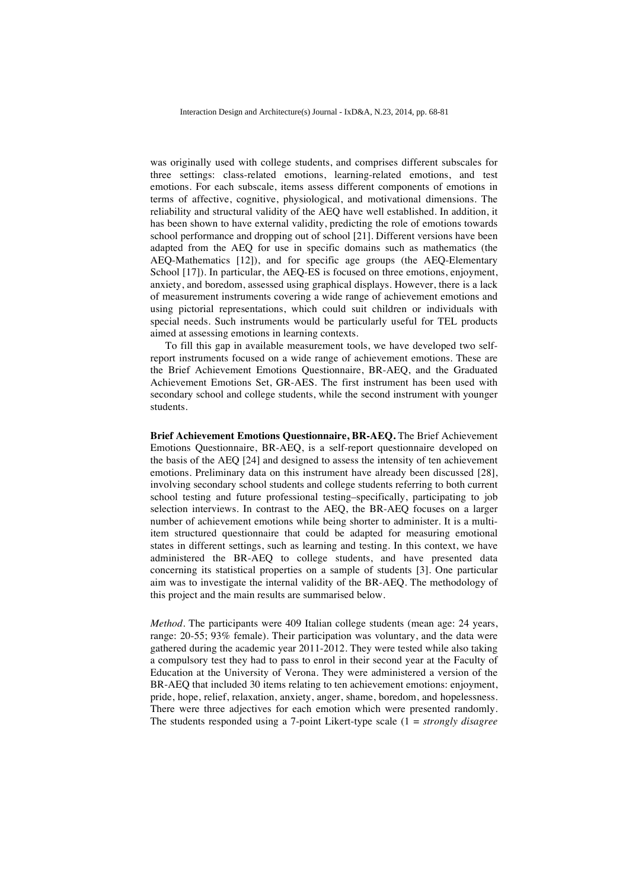was originally used with college students, and comprises different subscales for three settings: class-related emotions, learning-related emotions, and test emotions. For each subscale, items assess different components of emotions in terms of affective, cognitive, physiological, and motivational dimensions. The reliability and structural validity of the AEQ have well established. In addition, it has been shown to have external validity, predicting the role of emotions towards school performance and dropping out of school [21]. Different versions have been adapted from the AEQ for use in specific domains such as mathematics (the AEQ-Mathematics [12]), and for specific age groups (the AEQ-Elementary School [17]). In particular, the AEQ-ES is focused on three emotions, enjoyment, anxiety, and boredom, assessed using graphical displays. However, there is a lack of measurement instruments covering a wide range of achievement emotions and using pictorial representations, which could suit children or individuals with special needs. Such instruments would be particularly useful for TEL products aimed at assessing emotions in learning contexts.

To fill this gap in available measurement tools, we have developed two selfreport instruments focused on a wide range of achievement emotions. These are the Brief Achievement Emotions Questionnaire, BR-AEQ, and the Graduated Achievement Emotions Set, GR-AES. The first instrument has been used with secondary school and college students, while the second instrument with younger students.

**Brief Achievement Emotions Questionnaire, BR-AEQ.** The Brief Achievement Emotions Questionnaire, BR-AEQ, is a self-report questionnaire developed on the basis of the AEQ [24] and designed to assess the intensity of ten achievement emotions. Preliminary data on this instrument have already been discussed [28], involving secondary school students and college students referring to both current school testing and future professional testing–specifically, participating to job selection interviews. In contrast to the AEQ, the BR-AEQ focuses on a larger number of achievement emotions while being shorter to administer. It is a multiitem structured questionnaire that could be adapted for measuring emotional states in different settings, such as learning and testing. In this context, we have administered the BR-AEQ to college students, and have presented data concerning its statistical properties on a sample of students [3]. One particular aim was to investigate the internal validity of the BR-AEQ. The methodology of this project and the main results are summarised below.

*Method.* The participants were 409 Italian college students (mean age: 24 years, range: 20-55; 93% female). Their participation was voluntary, and the data were gathered during the academic year 2011-2012. They were tested while also taking a compulsory test they had to pass to enrol in their second year at the Faculty of Education at the University of Verona. They were administered a version of the BR-AEQ that included 30 items relating to ten achievement emotions: enjoyment, pride, hope, relief, relaxation, anxiety, anger, shame, boredom, and hopelessness. There were three adjectives for each emotion which were presented randomly. The students responded using a 7-point Likert-type scale (1 = *strongly disagree*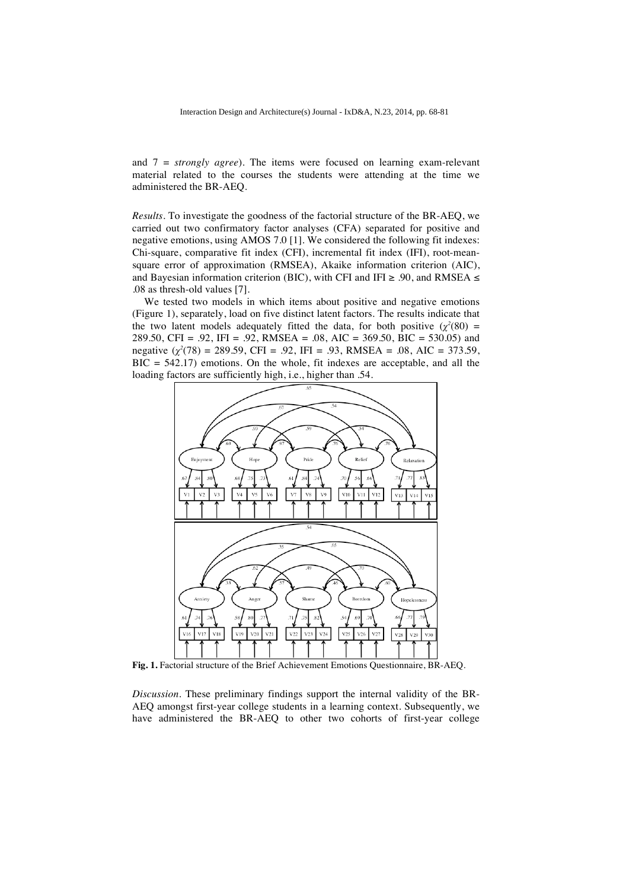and 7 = *strongly agree*). The items were focused on learning exam-relevant material related to the courses the students were attending at the time we administered the BR-AEQ.

*Results.* To investigate the goodness of the factorial structure of the BR-AEQ, we carried out two confirmatory factor analyses (CFA) separated for positive and negative emotions, using AMOS 7.0 [1]. We considered the following fit indexes: Chi-square, comparative fit index (CFI), incremental fit index (IFI), root-meansquare error of approximation (RMSEA), Akaike information criterion (AIC), and Bayesian information criterion (BIC), with CFI and IFI  $\geq$  .90, and RMSEA  $\leq$ .08 as thresh-old values [7].

We tested two models in which items about positive and negative emotions (Figure 1), separately, load on five distinct latent factors. The results indicate that the two latent models adequately fitted the data, for both positive  $(\chi^2(80) =$ 289.50, CFI = .92, IFI = .92, RMSEA = .08, AIC = 369.50, BIC = 530.05) and negative (*χ<sup>2</sup>* (78) = 289.59, CFI = .92, IFI = .93, RMSEA = .08, AIC = 373.59,  $BIC = 542.17$ ) emotions. On the whole, fit indexes are acceptable, and all the loading factors are sufficiently high, i.e., higher than .54.



**Fig. 1.** Factorial structure of the Brief Achievement Emotions Questionnaire, BR-AEQ.

*Discussion.* These preliminary findings support the internal validity of the BR-AEQ amongst first-year college students in a learning context. Subsequently, we have administered the BR-AEQ to other two cohorts of first-year college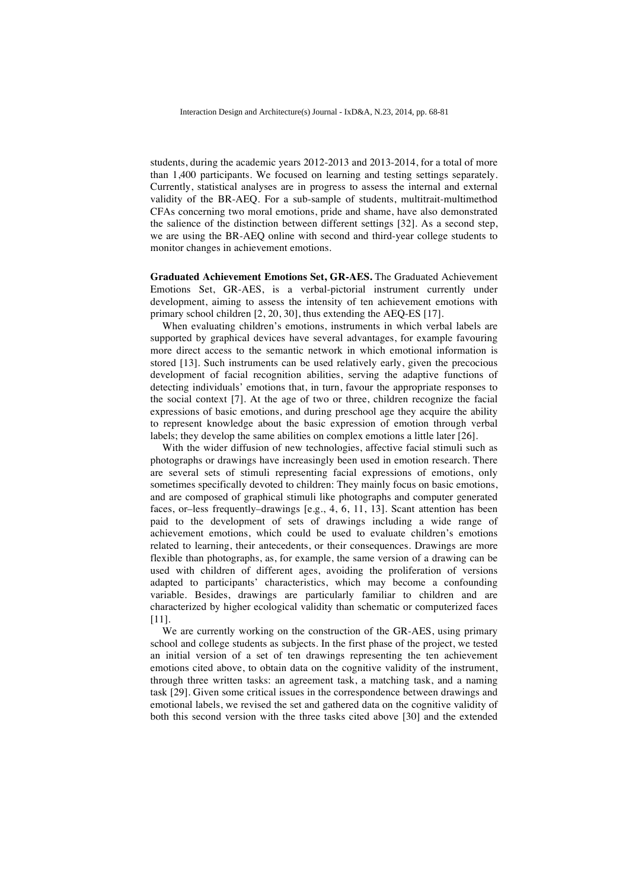students, during the academic years 2012-2013 and 2013-2014, for a total of more than 1,400 participants. We focused on learning and testing settings separately. Currently, statistical analyses are in progress to assess the internal and external validity of the BR-AEQ. For a sub-sample of students, multitrait-multimethod CFAs concerning two moral emotions, pride and shame, have also demonstrated the salience of the distinction between different settings [32]. As a second step, we are using the BR-AEQ online with second and third-year college students to monitor changes in achievement emotions.

**Graduated Achievement Emotions Set, GR-AES.** The Graduated Achievement Emotions Set, GR-AES, is a verbal-pictorial instrument currently under development, aiming to assess the intensity of ten achievement emotions with primary school children [2, 20, 30], thus extending the AEQ-ES [17].

When evaluating children's emotions, instruments in which verbal labels are supported by graphical devices have several advantages, for example favouring more direct access to the semantic network in which emotional information is stored [13]. Such instruments can be used relatively early, given the precocious development of facial recognition abilities, serving the adaptive functions of detecting individuals' emotions that, in turn, favour the appropriate responses to the social context [7]. At the age of two or three, children recognize the facial expressions of basic emotions, and during preschool age they acquire the ability to represent knowledge about the basic expression of emotion through verbal labels; they develop the same abilities on complex emotions a little later [26].

With the wider diffusion of new technologies, affective facial stimuli such as photographs or drawings have increasingly been used in emotion research. There are several sets of stimuli representing facial expressions of emotions, only sometimes specifically devoted to children: They mainly focus on basic emotions, and are composed of graphical stimuli like photographs and computer generated faces, or–less frequently–drawings [e.g., 4, 6, 11, 13]. Scant attention has been paid to the development of sets of drawings including a wide range of achievement emotions, which could be used to evaluate children's emotions related to learning, their antecedents, or their consequences. Drawings are more flexible than photographs, as, for example, the same version of a drawing can be used with children of different ages, avoiding the proliferation of versions adapted to participants' characteristics, which may become a confounding variable. Besides, drawings are particularly familiar to children and are characterized by higher ecological validity than schematic or computerized faces [11].

We are currently working on the construction of the GR-AES, using primary school and college students as subjects. In the first phase of the project, we tested an initial version of a set of ten drawings representing the ten achievement emotions cited above, to obtain data on the cognitive validity of the instrument, through three written tasks: an agreement task, a matching task, and a naming task [29]. Given some critical issues in the correspondence between drawings and emotional labels, we revised the set and gathered data on the cognitive validity of both this second version with the three tasks cited above [30] and the extended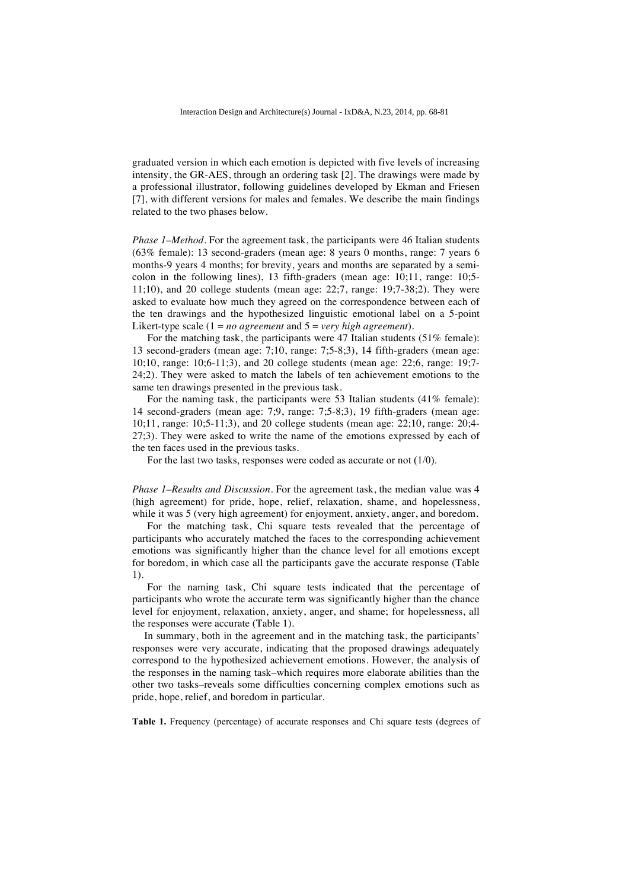graduated version in which each emotion is depicted with five levels of increasing intensity, the GR-AES, through an ordering task [2]. The drawings were made by a professional illustrator, following guidelines developed by Ekman and Friesen [7], with different versions for males and females. We describe the main findings related to the two phases below.

*Phase 1–Method.* For the agreement task, the participants were 46 Italian students (63% female): 13 second-graders (mean age: 8 years 0 months, range: 7 years 6 months-9 years 4 months; for brevity, years and months are separated by a semicolon in the following lines), 13 fifth-graders (mean age: 10;11, range: 10;5-  $11;10$ , and 20 college students (mean age:  $22;7$ , range:  $19;7-38;2$ ). They were asked to evaluate how much they agreed on the correspondence between each of the ten drawings and the hypothesized linguistic emotional label on a 5-point Likert-type scale (1 = *no agreement* and 5 = *very high agreement*).

For the matching task, the participants were 47 Italian students (51% female): 13 second-graders (mean age: 7;10, range: 7;5-8;3), 14 fifth-graders (mean age: 10;10, range: 10;6-11;3), and 20 college students (mean age: 22;6, range: 19;7- 24;2). They were asked to match the labels of ten achievement emotions to the same ten drawings presented in the previous task.

For the naming task, the participants were 53 Italian students (41% female): 14 second-graders (mean age: 7;9, range: 7;5-8;3), 19 fifth-graders (mean age: 10;11, range: 10;5-11;3), and 20 college students (mean age: 22;10, range: 20;4- 27;3). They were asked to write the name of the emotions expressed by each of the ten faces used in the previous tasks.

For the last two tasks, responses were coded as accurate or not (1/0).

*Phase 1–Results and Discussion.* For the agreement task, the median value was 4 (high agreement) for pride, hope, relief, relaxation, shame, and hopelessness, while it was 5 (very high agreement) for enjoyment, anxiety, anger, and boredom.

For the matching task, Chi square tests revealed that the percentage of participants who accurately matched the faces to the corresponding achievement emotions was significantly higher than the chance level for all emotions except for boredom, in which case all the participants gave the accurate response (Table 1).

For the naming task, Chi square tests indicated that the percentage of participants who wrote the accurate term was significantly higher than the chance level for enjoyment, relaxation, anxiety, anger, and shame; for hopelessness, all the responses were accurate (Table 1).

In summary, both in the agreement and in the matching task, the participants' responses were very accurate, indicating that the proposed drawings adequately correspond to the hypothesized achievement emotions. However, the analysis of the responses in the naming task–which requires more elaborate abilities than the other two tasks–reveals some difficulties concerning complex emotions such as pride, hope, relief, and boredom in particular.

**Table 1.** Frequency (percentage) of accurate responses and Chi square tests (degrees of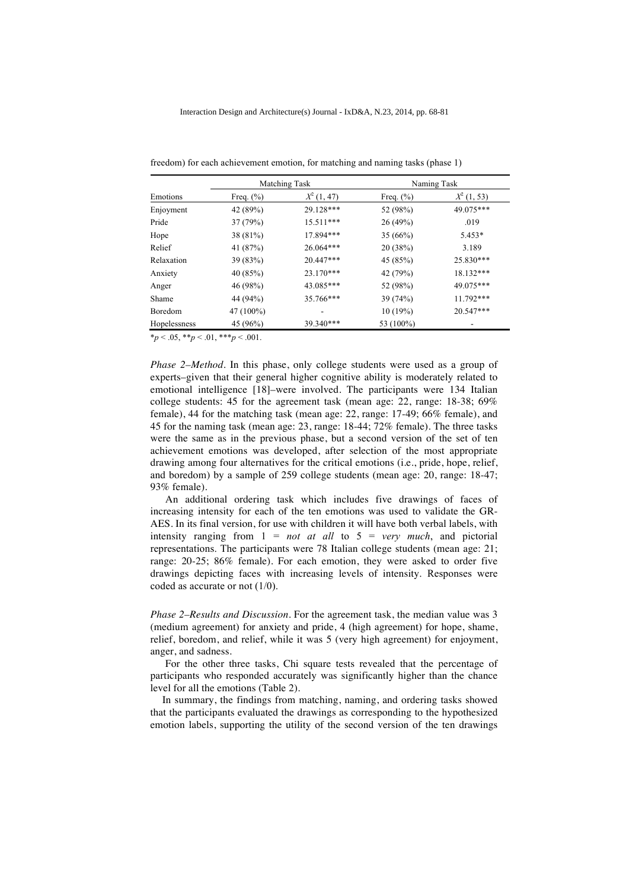| Emotions     |               | Matching Task | Naming Task   |               |  |  |
|--------------|---------------|---------------|---------------|---------------|--|--|
|              | Freq. $(\% )$ | $X^2(1, 47)$  | Freq. $(\% )$ | $X^2$ (1, 53) |  |  |
| Enjoyment    | 42 (89%)      | 29.128***     | 52 (98%)      | 49.075***     |  |  |
| Pride        | 37(79%)       | $15.511***$   | 26 (49%)      | .019          |  |  |
| Hope         | 38 (81%)      | 17.894***     | 35 (66%)      | 5.453*        |  |  |
| Relief       | 41 (87%)      | 26.064***     | 20 (38%)      | 3.189         |  |  |
| Relaxation   | 39 (83%)      | $20.447***$   | 45 (85%)      | 25.830***     |  |  |
| Anxiety      | 40 (85%)      | 23.170***     | 42 (79%)      | 18.132***     |  |  |
| Anger        | 46 (98%)      | 43.085***     | 52 (98%)      | 49.075***     |  |  |
| Shame        | 44 (94%)      | 35.766***     | 39 (74%)      | 11.792***     |  |  |
| Boredom      | 47 (100%)     |               | 10(19%)       | 20.547***     |  |  |
| Hopelessness | 45 (96%)      | 39.340***     | 53 (100%)     |               |  |  |

freedom) for each achievement emotion, for matching and naming tasks (phase 1)

 $*_p$  < .05,  $*_p$  < .01,  $**_p$  < .001.

*Phase 2–Method.* In this phase, only college students were used as a group of experts–given that their general higher cognitive ability is moderately related to emotional intelligence [18]–were involved. The participants were 134 Italian college students: 45 for the agreement task (mean age: 22, range: 18-38; 69% female), 44 for the matching task (mean age: 22, range: 17-49; 66% female), and 45 for the naming task (mean age: 23, range: 18-44; 72% female). The three tasks were the same as in the previous phase, but a second version of the set of ten achievement emotions was developed, after selection of the most appropriate drawing among four alternatives for the critical emotions (i.e., pride, hope, relief, and boredom) by a sample of 259 college students (mean age: 20, range: 18-47; 93% female).

An additional ordering task which includes five drawings of faces of increasing intensity for each of the ten emotions was used to validate the GR-AES. In its final version, for use with children it will have both verbal labels, with intensity ranging from 1 = *not at all* to 5 = *very much*, and pictorial representations. The participants were 78 Italian college students (mean age: 21; range: 20-25; 86% female). For each emotion, they were asked to order five drawings depicting faces with increasing levels of intensity. Responses were coded as accurate or not (1/0).

*Phase 2–Results and Discussion.* For the agreement task, the median value was 3 (medium agreement) for anxiety and pride, 4 (high agreement) for hope, shame, relief, boredom, and relief, while it was 5 (very high agreement) for enjoyment, anger, and sadness.

For the other three tasks, Chi square tests revealed that the percentage of participants who responded accurately was significantly higher than the chance level for all the emotions (Table 2).

In summary, the findings from matching, naming, and ordering tasks showed that the participants evaluated the drawings as corresponding to the hypothesized emotion labels, supporting the utility of the second version of the ten drawings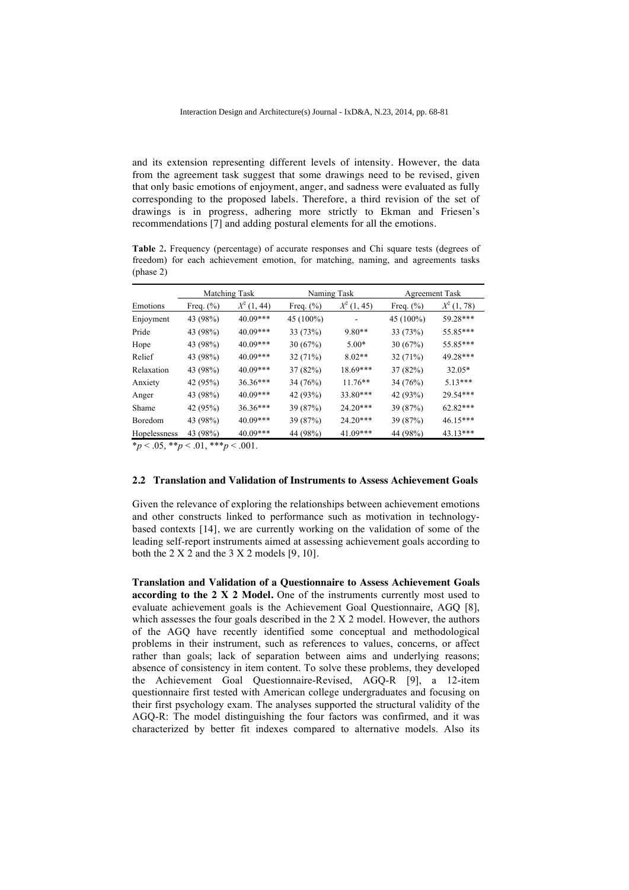and its extension representing different levels of intensity. However, the data from the agreement task suggest that some drawings need to be revised, given that only basic emotions of enjoyment, anger, and sadness were evaluated as fully corresponding to the proposed labels. Therefore, a third revision of the set of drawings is in progress, adhering more strictly to Ekman and Friesen's recommendations [7] and adding postural elements for all the emotions.

|           |  |  |  | <b>Table 2.</b> Frequency (percentage) of accurate responses and Chi square tests (degrees of |  |  |  |
|-----------|--|--|--|-----------------------------------------------------------------------------------------------|--|--|--|
|           |  |  |  | freedom) for each achievement emotion, for matching, naming, and agreements tasks             |  |  |  |
| (phase 2) |  |  |  |                                                                                               |  |  |  |
|           |  |  |  |                                                                                               |  |  |  |

|              | Matching Task<br>Naming Task |               |               |               | <b>Agreement Task</b> |               |  |  |
|--------------|------------------------------|---------------|---------------|---------------|-----------------------|---------------|--|--|
| Emotions     | Freq. $(\% )$                | $X^2$ (1, 44) | Freq. $(\% )$ | $X^2$ (1, 45) | Freq. $(\% )$         | $X^2$ (1, 78) |  |  |
| Enjoyment    | 43 (98%)                     | $40.09***$    | 45 (100%)     |               | 45 (100%)             | 59.28***      |  |  |
| Pride        | 43 (98%)                     | 40.09***      | 33 (73%)      | $9.80**$      | 33 (73%)              | 55.85***      |  |  |
| Hope         | 43 (98%)                     | 40.09***      | 30(67%)       | $5.00*$       | 30(67%)               | 55.85***      |  |  |
| Relief       | 43 (98%)                     | $40.09***$    | 32(71%)       | $8.02**$      | 32 (71%)              | 49.28***      |  |  |
| Relaxation   | 43 (98%)                     | $40.09***$    | 37(82%)       | $18.69***$    | 37 (82%)              | $32.05*$      |  |  |
| Anxiety      | 42 (95%)                     | $36.36***$    | 34(76%)       | $11.76**$     | 34 (76%)              | $5.13***$     |  |  |
| Anger        | 43 (98%)                     | $40.09***$    | 42 (93%)      | 33.80***      | 42 (93%)              | 29.54***      |  |  |
| Shame        | 42 (95%)                     | $36.36***$    | 39 (87%)      | $24.20***$    | 39 (87%)              | $62.82***$    |  |  |
| Boredom      | 43 (98%)                     | $40.09***$    | 39 (87%)      | $24.20***$    | 39 (87%)              | $46.15***$    |  |  |
| Hopelessness | 43 (98%)                     | 40.09***      | 44 (98%)      | $41.09***$    | 44 (98%)              | $43.13***$    |  |  |

 $*_p$  < .05,  $*_p$  < .01,  $**_p$  < .001.

#### **2.2 Translation and Validation of Instruments to Assess Achievement Goals**

Given the relevance of exploring the relationships between achievement emotions and other constructs linked to performance such as motivation in technologybased contexts [14], we are currently working on the validation of some of the leading self-report instruments aimed at assessing achievement goals according to both the  $2 X 2$  and the  $3 X 2$  models  $[9, 10]$ .

**Translation and Validation of a Questionnaire to Assess Achievement Goals according to the 2 X 2 Model.** One of the instruments currently most used to evaluate achievement goals is the Achievement Goal Questionnaire, AGQ [8], which assesses the four goals described in the 2 X 2 model. However, the authors of the AGQ have recently identified some conceptual and methodological problems in their instrument, such as references to values, concerns, or affect rather than goals; lack of separation between aims and underlying reasons; absence of consistency in item content. To solve these problems, they developed the Achievement Goal Questionnaire-Revised, AGQ-R [9], a 12-item questionnaire first tested with American college undergraduates and focusing on their first psychology exam. The analyses supported the structural validity of the AGQ-R: The model distinguishing the four factors was confirmed, and it was characterized by better fit indexes compared to alternative models. Also its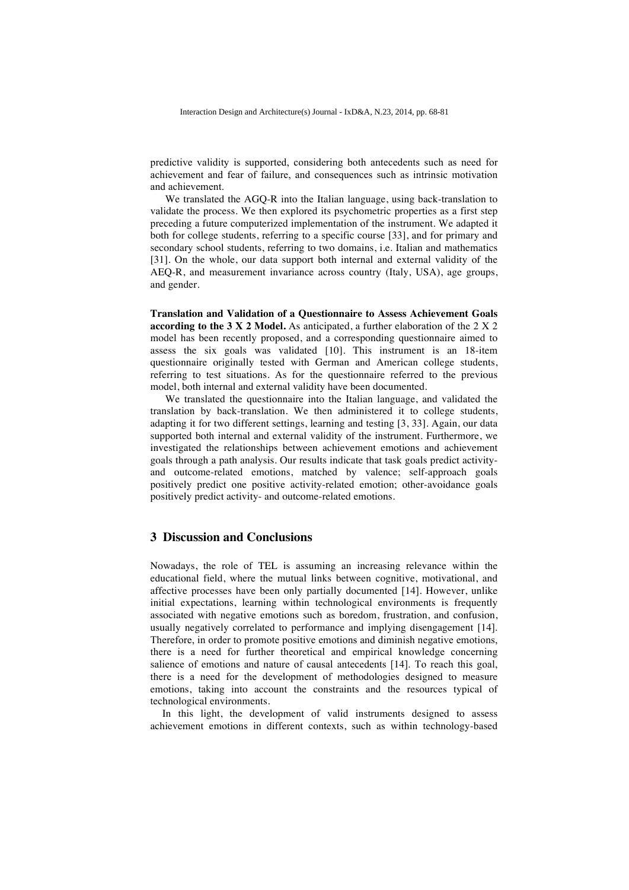predictive validity is supported, considering both antecedents such as need for achievement and fear of failure, and consequences such as intrinsic motivation and achievement.

We translated the AGQ-R into the Italian language, using back-translation to validate the process. We then explored its psychometric properties as a first step preceding a future computerized implementation of the instrument. We adapted it both for college students, referring to a specific course [33], and for primary and secondary school students, referring to two domains, i.e. Italian and mathematics [31]. On the whole, our data support both internal and external validity of the AEQ-R, and measurement invariance across country (Italy, USA), age groups, and gender.

**Translation and Validation of a Questionnaire to Assess Achievement Goals according to the 3 X 2 Model.** As anticipated, a further elaboration of the 2 X 2 model has been recently proposed, and a corresponding questionnaire aimed to assess the six goals was validated [10]. This instrument is an 18-item questionnaire originally tested with German and American college students, referring to test situations. As for the questionnaire referred to the previous model, both internal and external validity have been documented.

We translated the questionnaire into the Italian language, and validated the translation by back-translation. We then administered it to college students, adapting it for two different settings, learning and testing [3, 33]. Again, our data supported both internal and external validity of the instrument. Furthermore, we investigated the relationships between achievement emotions and achievement goals through a path analysis. Our results indicate that task goals predict activityand outcome-related emotions, matched by valence; self-approach goals positively predict one positive activity-related emotion; other-avoidance goals positively predict activity- and outcome-related emotions.

### **3 Discussion and Conclusions**

Nowadays, the role of TEL is assuming an increasing relevance within the educational field, where the mutual links between cognitive, motivational, and affective processes have been only partially documented [14]. However, unlike initial expectations, learning within technological environments is frequently associated with negative emotions such as boredom, frustration, and confusion, usually negatively correlated to performance and implying disengagement [14]. Therefore, in order to promote positive emotions and diminish negative emotions, there is a need for further theoretical and empirical knowledge concerning salience of emotions and nature of causal antecedents [14]. To reach this goal, there is a need for the development of methodologies designed to measure emotions, taking into account the constraints and the resources typical of technological environments.

In this light, the development of valid instruments designed to assess achievement emotions in different contexts, such as within technology-based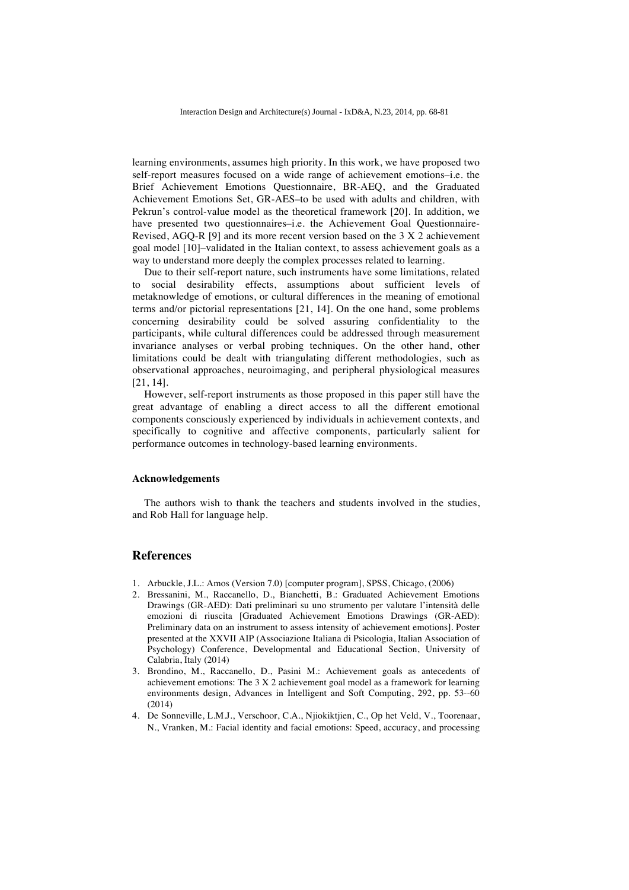learning environments, assumes high priority. In this work, we have proposed two self-report measures focused on a wide range of achievement emotions–i.e. the Brief Achievement Emotions Questionnaire, BR-AEQ, and the Graduated Achievement Emotions Set, GR-AES–to be used with adults and children, with Pekrun's control-value model as the theoretical framework [20]. In addition, we have presented two questionnaires–i.e. the Achievement Goal Questionnaire-Revised, AGQ-R [9] and its more recent version based on the 3 X 2 achievement goal model [10]–validated in the Italian context, to assess achievement goals as a way to understand more deeply the complex processes related to learning.

Due to their self-report nature, such instruments have some limitations, related to social desirability effects, assumptions about sufficient levels of metaknowledge of emotions, or cultural differences in the meaning of emotional terms and/or pictorial representations [21, 14]. On the one hand, some problems concerning desirability could be solved assuring confidentiality to the participants, while cultural differences could be addressed through measurement invariance analyses or verbal probing techniques. On the other hand, other limitations could be dealt with triangulating different methodologies, such as observational approaches, neuroimaging, and peripheral physiological measures [21, 14].

However, self-report instruments as those proposed in this paper still have the great advantage of enabling a direct access to all the different emotional components consciously experienced by individuals in achievement contexts, and specifically to cognitive and affective components, particularly salient for performance outcomes in technology-based learning environments.

#### **Acknowledgements**

The authors wish to thank the teachers and students involved in the studies, and Rob Hall for language help.

### **References**

- 1. Arbuckle, J.L.: Amos (Version 7.0) [computer program], SPSS, Chicago, (2006)
- 2. Bressanini, M., Raccanello, D., Bianchetti, B.: Graduated Achievement Emotions Drawings (GR-AED): Dati preliminari su uno strumento per valutare l'intensità delle emozioni di riuscita [Graduated Achievement Emotions Drawings (GR-AED): Preliminary data on an instrument to assess intensity of achievement emotions]. Poster presented at the XXVII AIP (Associazione Italiana di Psicologia, Italian Association of Psychology) Conference, Developmental and Educational Section, University of Calabria, Italy (2014)
- 3. Brondino, M., Raccanello, D., Pasini M.: Achievement goals as antecedents of achievement emotions: The 3 X 2 achievement goal model as a framework for learning environments design, Advances in Intelligent and Soft Computing, 292, pp. 53--60 (2014)
- 4. De Sonneville, L.M.J., Verschoor, C.A., Njiokiktjien, C., Op het Veld, V., Toorenaar, N., Vranken, M.: Facial identity and facial emotions: Speed, accuracy, and processing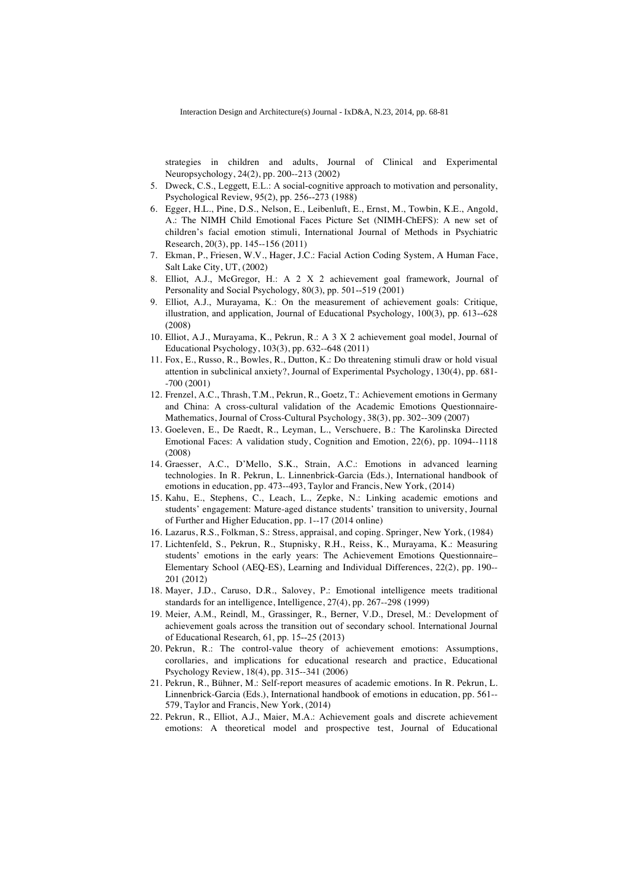strategies in children and adults, Journal of Clinical and Experimental Neuropsychology, 24(2), pp. 200--213 (2002)

- 5. Dweck, C.S., Leggett, E.L.: A social-cognitive approach to motivation and personality, Psychological Review, 95(2), pp. 256--273 (1988)
- 6. Egger, H.L., Pine, D.S., Nelson, E., Leibenluft, E., Ernst, M., Towbin, K.E., Angold, A.: The NIMH Child Emotional Faces Picture Set (NIMH-ChEFS): A new set of children's facial emotion stimuli, International Journal of Methods in Psychiatric Research, 20(3), pp. 145--156 (2011)
- 7. Ekman, P., Friesen, W.V., Hager, J.C.: Facial Action Coding System, A Human Face, Salt Lake City, UT, (2002)
- 8. Elliot, A.J., McGregor, H.: A 2 X 2 achievement goal framework, Journal of Personality and Social Psychology, 80(3), pp. 501--519 (2001)
- 9. Elliot, A.J., Murayama, K.: On the measurement of achievement goals: Critique, illustration, and application, Journal of Educational Psychology, 100(3), pp. 613--628 (2008)
- 10. Elliot, A.J., Murayama, K., Pekrun, R.: A 3 X 2 achievement goal model, Journal of Educational Psychology, 103(3), pp. 632--648 (2011)
- 11. Fox, E., Russo, R., Bowles, R., Dutton, K.: Do threatening stimuli draw or hold visual attention in subclinical anxiety?, Journal of Experimental Psychology, 130(4), pp. 681- -700 (2001)
- 12. Frenzel, A.C., Thrash, T.M., Pekrun, R., Goetz, T.: Achievement emotions in Germany and China: A cross-cultural validation of the Academic Emotions Questionnaire-Mathematics, Journal of Cross-Cultural Psychology, 38(3), pp. 302--309 (2007)
- 13. Goeleven, E., De Raedt, R., Leyman, L., Verschuere, B.: The Karolinska Directed Emotional Faces: A validation study, Cognition and Emotion, 22(6), pp. 1094--1118 (2008)
- 14. Graesser, A.C., D'Mello, S.K., Strain, A.C.: Emotions in advanced learning technologies. In R. Pekrun, L. Linnenbrick-Garcia (Eds.), International handbook of emotions in education, pp. 473--493, Taylor and Francis, New York, (2014)
- 15. Kahu, E., Stephens, C., Leach, L., Zepke, N.: Linking academic emotions and students' engagement: Mature-aged distance students' transition to university, Journal of Further and Higher Education, pp. 1--17 (2014 online)
- 16. Lazarus, R.S., Folkman, S.: Stress, appraisal, and coping. Springer, New York, (1984)
- 17. Lichtenfeld, S., Pekrun, R., Stupnisky, R.H., Reiss, K., Murayama, K.: Measuring students' emotions in the early years: The Achievement Emotions Questionnaire– Elementary School (AEQ-ES), Learning and Individual Differences, 22(2), pp. 190-- 201 (2012)
- 18. Mayer, J.D., Caruso, D.R., Salovey, P.: Emotional intelligence meets traditional standards for an intelligence, Intelligence, 27(4), pp. 267--298 (1999)
- 19. Meier, A.M., Reindl, M., Grassinger, R., Berner, V.D., Dresel, M.: Development of achievement goals across the transition out of secondary school. International Journal of Educational Research, 61, pp. 15--25 (2013)
- 20. Pekrun, R.: The control-value theory of achievement emotions: Assumptions, corollaries, and implications for educational research and practice, Educational Psychology Review, 18(4), pp. 315--341 (2006)
- 21. Pekrun, R., Bühner, M.: Self-report measures of academic emotions. In R. Pekrun, L. Linnenbrick-Garcia (Eds.), International handbook of emotions in education, pp. 561-- 579, Taylor and Francis, New York, (2014)
- 22. Pekrun, R., Elliot, A.J., Maier, M.A.: Achievement goals and discrete achievement emotions: A theoretical model and prospective test, Journal of Educational